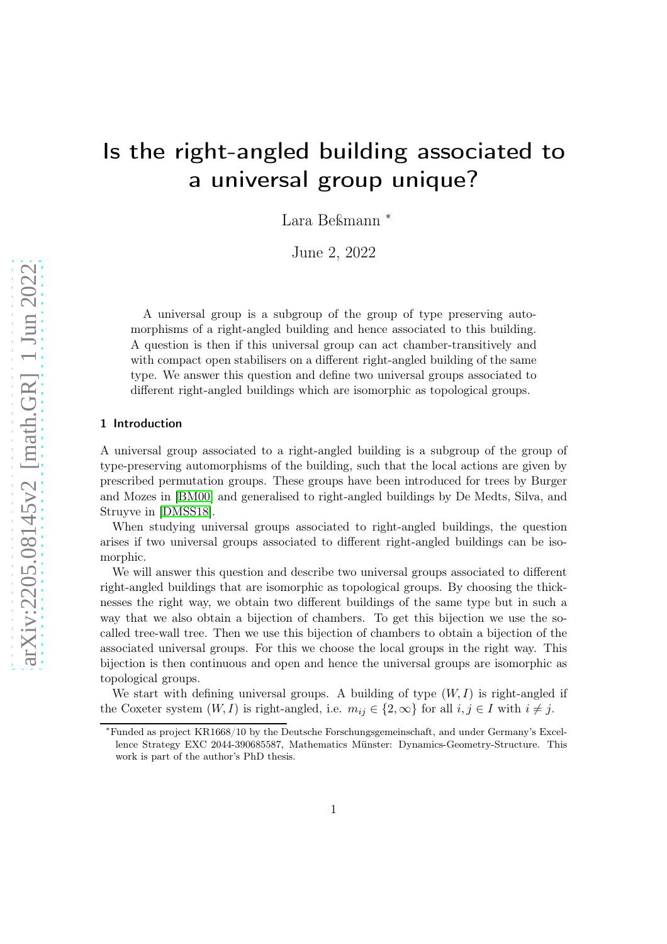# Is the right-angled building associated to a universal group unique?

Lara Beßmann <sup>∗</sup>

June 2, 2022

A universal group is a subgroup of the group of type preserving automorphisms of a right-angled building and hence associated to this building. A question is then if this universal group can act chamber-transitively and with compact open stabilisers on a different right-angled building of the same type. We answer this question and define two universal groups associated to different right-angled buildings which are isomorphic as topological groups.

#### 1 Introduction

A universal group associated to a right-angled building is a subgroup of the group of type-preserving automorphisms of the building, such that the local actions are given by prescribed permutation groups. These groups have been introduced for trees by Burger and Mozes in [\[BM00\]](#page-7-0) and generalised to right-angled buildings by De Medts, Silva, and Struyve in [\[DMSS18\]](#page-7-1).

When studying universal groups associated to right-angled buildings, the question arises if two universal groups associated to different right-angled buildings can be isomorphic.

We will answer this question and describe two universal groups associated to different right-angled buildings that are isomorphic as topological groups. By choosing the thicknesses the right way, we obtain two different buildings of the same type but in such a way that we also obtain a bijection of chambers. To get this bijection we use the socalled tree-wall tree. Then we use this bijection of chambers to obtain a bijection of the associated universal groups. For this we choose the local groups in the right way. This bijection is then continuous and open and hence the universal groups are isomorphic as topological groups.

We start with defining universal groups. A building of type  $(W, I)$  is right-angled if the Coxeter system  $(W, I)$  is right-angled, i.e.  $m_{ij} \in \{2, \infty\}$  for all  $i, j \in I$  with  $i \neq j$ .

<sup>∗</sup>Funded as project KR1668/10 by the Deutsche Forschungsgemeinschaft, and under Germany's Excellence Strategy EXC 2044-390685587, Mathematics Münster: Dynamics-Geometry-Structure. This work is part of the author's PhD thesis.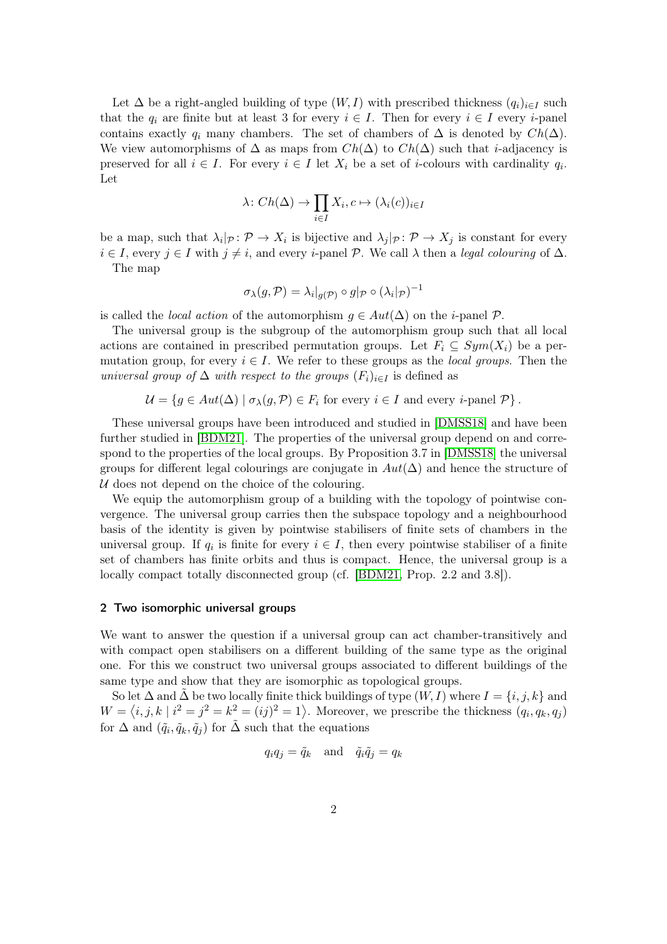Let  $\Delta$  be a right-angled building of type  $(W, I)$  with prescribed thickness  $(q_i)_{i \in I}$  such that the  $q_i$  are finite but at least 3 for every  $i \in I$ . Then for every  $i \in I$  every *i*-panel contains exactly  $q_i$  many chambers. The set of chambers of  $\Delta$  is denoted by  $Ch(\Delta)$ . We view automorphisms of  $\Delta$  as maps from  $Ch(\Delta)$  to  $Ch(\Delta)$  such that *i*-adjacency is preserved for all  $i \in I$ . For every  $i \in I$  let  $X_i$  be a set of *i*-colours with cardinality  $q_i$ . Let

$$
\lambda\colon Ch(\Delta)\to\prod_{i\in I}X_i,c\mapsto (\lambda_i(c))_{i\in I}
$$

be a map, such that  $\lambda_i|_{\mathcal{P}}\colon \mathcal{P}\to X_i$  is bijective and  $\lambda_j|_{\mathcal{P}}\colon \mathcal{P}\to X_j$  is constant for every  $i \in I$ , every  $j \in I$  with  $j \neq i$ , and every *i*-panel P. We call  $\lambda$  then a legal colouring of  $\Delta$ .

The map

$$
\sigma_{\lambda}(g,\mathcal{P}) = \lambda_i|_{g(\mathcal{P})} \circ g|_{\mathcal{P}} \circ (\lambda_i|_{\mathcal{P}})^{-1}
$$

is called the *local action* of the automorphism  $g \in Aut(\Delta)$  on the *i*-panel  $P$ .

The universal group is the subgroup of the automorphism group such that all local actions are contained in prescribed permutation groups. Let  $F_i \subseteq Sym(X_i)$  be a permutation group, for every  $i \in I$ . We refer to these groups as the *local groups*. Then the universal group of  $\Delta$  with respect to the groups  $(F_i)_{i\in I}$  is defined as

$$
\mathcal{U} = \{ g \in Aut(\Delta) \mid \sigma_{\lambda}(g, \mathcal{P}) \in F_i \text{ for every } i \in I \text{ and every } i \text{-panel } \mathcal{P} \}.
$$

These universal groups have been introduced and studied in [\[DMSS18\]](#page-7-1) and have been further studied in [\[BDM21\]](#page-7-2). The properties of the universal group depend on and correspond to the properties of the local groups. By Proposition 3.7 in [\[DMSS18\]](#page-7-1) the universal groups for different legal colourings are conjugate in  $Aut(\Delta)$  and hence the structure of  $U$  does not depend on the choice of the colouring.

We equip the automorphism group of a building with the topology of pointwise convergence. The universal group carries then the subspace topology and a neighbourhood basis of the identity is given by pointwise stabilisers of finite sets of chambers in the universal group. If  $q_i$  is finite for every  $i \in I$ , then every pointwise stabiliser of a finite set of chambers has finite orbits and thus is compact. Hence, the universal group is a locally compact totally disconnected group (cf. [\[BDM21,](#page-7-2) Prop. 2.2 and 3.8]).

#### 2 Two isomorphic universal groups

We want to answer the question if a universal group can act chamber-transitively and with compact open stabilisers on a different building of the same type as the original one. For this we construct two universal groups associated to different buildings of the same type and show that they are isomorphic as topological groups.

So let  $\Delta$  and  $\Delta$  be two locally finite thick buildings of type  $(W, I)$  where  $I = \{i, j, k\}$  and  $W = \langle i, j, k | i^2 = j^2 = k^2 = (ij)^2 = 1 \rangle$ . Moreover, we prescribe the thickness  $(q_i, q_k, q_j)$ for  $\Delta$  and  $(\tilde{q}_i, \tilde{q}_k, \tilde{q}_j)$  for  $\tilde{\Delta}$  such that the equations

$$
q_i q_j = \tilde{q}_k \quad \text{and} \quad \tilde{q}_i \tilde{q}_j = q_k
$$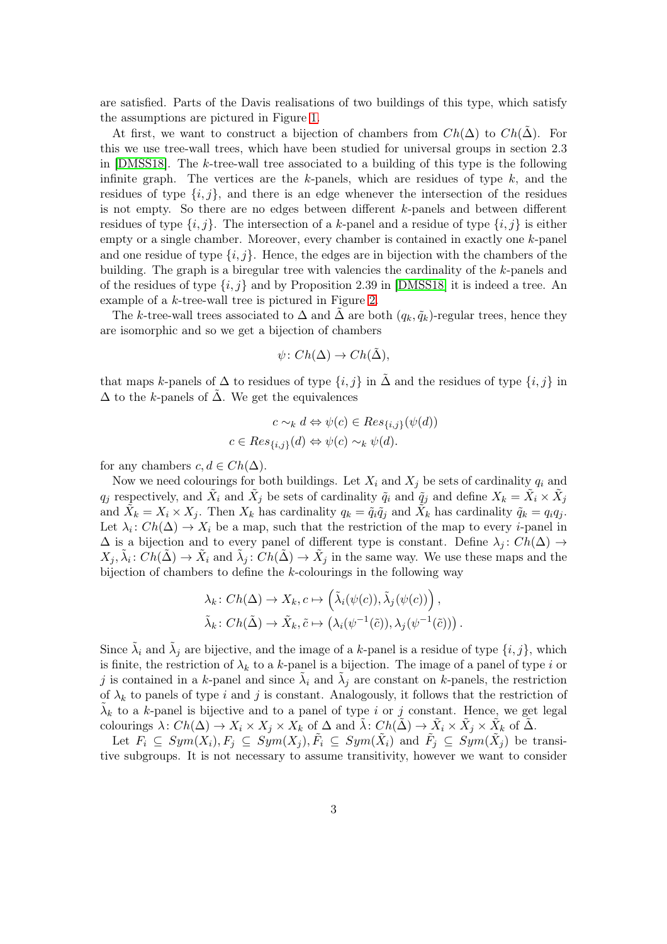are satisfied. Parts of the Davis realisations of two buildings of this type, which satisfy the assumptions are pictured in Figure [1.](#page-3-0)

At first, we want to construct a bijection of chambers from  $Ch(\Delta)$  to  $Ch(\tilde{\Delta})$ . For this we use tree-wall trees, which have been studied for universal groups in section 2.3 in [\[DMSS18\]](#page-7-1). The k-tree-wall tree associated to a building of this type is the following infinite graph. The vertices are the k-panels, which are residues of type  $k$ , and the residues of type  $\{i, j\}$ , and there is an edge whenever the intersection of the residues is not empty. So there are no edges between different k-panels and between different residues of type  $\{i, j\}$ . The intersection of a k-panel and a residue of type  $\{i, j\}$  is either empty or a single chamber. Moreover, every chamber is contained in exactly one k-panel and one residue of type  $\{i, j\}$ . Hence, the edges are in bijection with the chambers of the building. The graph is a biregular tree with valencies the cardinality of the k-panels and of the residues of type  $\{i, j\}$  and by Proposition 2.39 in [\[DMSS18\]](#page-7-1) it is indeed a tree. An example of a k-tree-wall tree is pictured in Figure [2.](#page-4-0)

The k-tree-wall trees associated to  $\Delta$  and  $\tilde{\Delta}$  are both  $(q_k, \tilde{q}_k)$ -regular trees, hence they are isomorphic and so we get a bijection of chambers

$$
\psi\colon Ch(\Delta)\to Ch(\tilde{\Delta}),
$$

that maps k-panels of  $\Delta$  to residues of type  $\{i, j\}$  in  $\Delta$  and the residues of type  $\{i, j\}$  in  $\Delta$  to the k-panels of  $\Delta$ . We get the equivalences

$$
c \sim_k d \Leftrightarrow \psi(c) \in Res_{\{i,j\}}(\psi(d))
$$
  

$$
c \in Res_{\{i,j\}}(d) \Leftrightarrow \psi(c) \sim_k \psi(d).
$$

for any chambers  $c, d \in Ch(\Delta)$ .

Now we need colourings for both buildings. Let  $X_i$  and  $X_j$  be sets of cardinality  $q_i$  and  $q_j$  respectively, and  $\tilde{X}_i$  and  $\tilde{X}_j$  be sets of cardinality  $\tilde{q}_i$  and  $\tilde{q}_j$  and define  $X_k = \tilde{X}_i \times \tilde{X}_j$ and  $\tilde{X}_k = X_i \times X_j$ . Then  $X_k$  has cardinality  $q_k = \tilde{q}_i \tilde{q}_j$  and  $\tilde{X}_k$  has cardinality  $\tilde{q}_k = q_i q_j$ . Let  $\lambda_i$ :  $Ch(\Delta) \to X_i$  be a map, such that the restriction of the map to every *i*-panel in  $\Delta$  is a bijection and to every panel of different type is constant. Define  $\lambda_i$ :  $Ch(\Delta) \rightarrow$  $X_j, \tilde{\lambda}_i: Ch(\tilde{\Delta}) \to \tilde{X}_i$  and  $\tilde{\lambda}_j: Ch(\tilde{\Delta}) \to \tilde{X}_j$  in the same way. We use these maps and the bijection of chambers to define the  $k$ -colourings in the following way

$$
\lambda_k \colon Ch(\Delta) \to X_k, c \mapsto \left(\tilde{\lambda}_i(\psi(c)), \tilde{\lambda}_j(\psi(c))\right),
$$
  

$$
\tilde{\lambda}_k \colon Ch(\tilde{\Delta}) \to \tilde{X}_k, \tilde{c} \mapsto \left(\lambda_i(\psi^{-1}(\tilde{c})), \lambda_j(\psi^{-1}(\tilde{c}))\right).
$$

Since  $\tilde{\lambda}_i$  and  $\tilde{\lambda}_j$  are bijective, and the image of a k-panel is a residue of type  $\{i, j\}$ , which is finite, the restriction of  $\lambda_k$  to a k-panel is a bijection. The image of a panel of type i or j is contained in a k-panel and since  $\tilde{\lambda}_i$  and  $\tilde{\lambda}_j$  are constant on k-panels, the restriction of  $\lambda_k$  to panels of type i and j is constant. Analogously, it follows that the restriction of  $\tilde{\lambda}_k$  to a k-panel is bijective and to a panel of type i or j constant. Hence, we get legal colourings  $\lambda: Ch(\Delta) \to X_i \times X_j \times X_k$  of  $\Delta$  and  $\tilde{\lambda}: Ch(\tilde{\Delta}) \to \tilde{X}_i \times \tilde{X}_j \times \tilde{X}_k$  of  $\tilde{\Delta}$ .

Let  $F_i \subseteq Sym(X_i), F_j \subseteq Sym(X_j), \tilde{F}_i \subseteq Sym(\tilde{X}_i)$  and  $\tilde{F}_j \subseteq Sym(\tilde{X}_j)$  be transitive subgroups. It is not necessary to assume transitivity, however we want to consider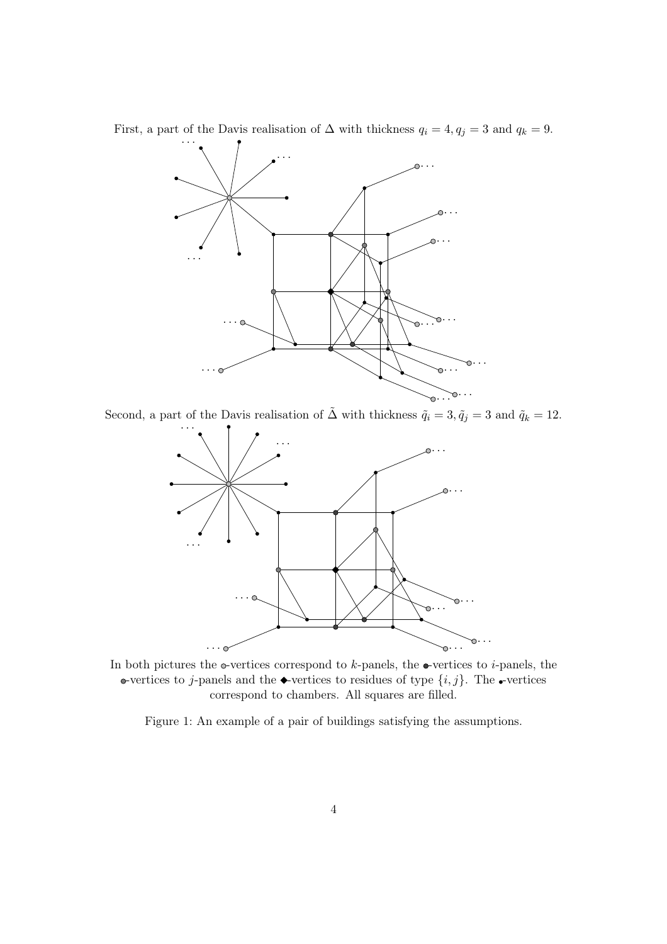First, a part of the Davis realisation of  $\Delta$  with thickness  $q_i = 4, q_j = 3$  and  $q_k = 9$ .



Second, a part of the Davis realisation of  $\tilde{\Delta}$  with thickness  $\tilde{q}_i = 3, \tilde{q}_j = 3$  and  $\tilde{q}_k = 12$ .



In both pictures the  $\circ$ -vertices correspond to k-panels, the  $\bullet$ -vertices to *i*-panels, the •vertices to j-panels and the •vertices to residues of type  $\{i, j\}$ . The •vertices correspond to chambers. All squares are filled.

<span id="page-3-0"></span>Figure 1: An example of a pair of buildings satisfying the assumptions.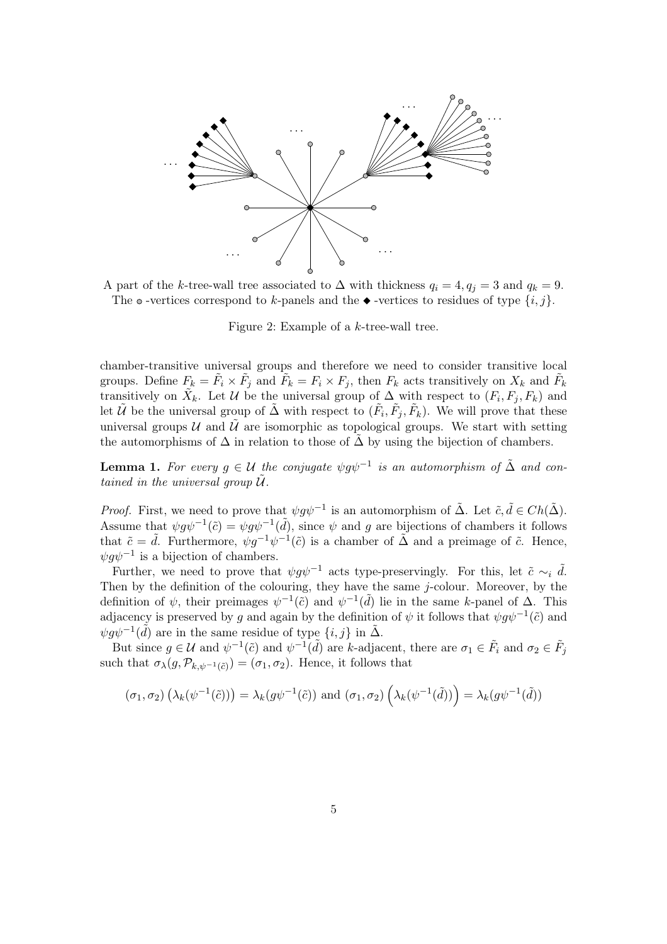

A part of the k-tree-wall tree associated to  $\Delta$  with thickness  $q_i = 4, q_j = 3$  and  $q_k = 9$ . The  $\circ$  -vertices correspond to k-panels and the  $\bullet$  -vertices to residues of type  $\{i, j\}$ .

<span id="page-4-0"></span>Figure 2: Example of a k-tree-wall tree.

chamber-transitive universal groups and therefore we need to consider transitive local groups. Define  $F_k = \tilde{F}_i \times \tilde{F}_j$  and  $\tilde{F}_k = F_i \times F_j$ , then  $F_k$  acts transitively on  $X_k$  and  $\tilde{F}_k$ transitively on  $\tilde{X}_k$ . Let U be the universal group of  $\Delta$  with respect to  $(F_i, F_j, F_k)$  and let  $\tilde{U}$  be the universal group of  $\tilde{\Delta}$  with respect to  $(\tilde{F}_i, \tilde{F}_j, \tilde{F}_k)$ . We will prove that these universal groups  $\mathcal U$  and  $\mathcal U$  are isomorphic as topological groups. We start with setting the automorphisms of  $\Delta$  in relation to those of  $\Delta$  by using the bijection of chambers.

**Lemma 1.** For every  $g \in \mathcal{U}$  the conjugate  $\psi g \psi^{-1}$  is an automorphism of  $\tilde{\Delta}$  and contained in the universal group  $\mathcal{U}$ .

*Proof.* First, we need to prove that  $\psi g \psi^{-1}$  is an automorphism of  $\tilde{\Delta}$ . Let  $\tilde{c}, \tilde{d} \in Ch(\tilde{\Delta})$ . Assume that  $\psi g \psi^{-1}(\tilde{c}) = \psi g \psi^{-1}(\tilde{d})$ , since  $\psi$  and g are bijections of chambers it follows that  $\tilde{c} = \tilde{d}$ . Furthermore,  $\psi g^{-1} \psi^{-1}(\tilde{c})$  is a chamber of  $\tilde{\Delta}$  and a preimage of  $\tilde{c}$ . Hence,  $\psi g \psi^{-1}$  is a bijection of chambers.

Further, we need to prove that  $\psi g \psi^{-1}$  acts type-preservingly. For this, let  $\tilde{c} \sim_i \tilde{d}$ . Then by the definition of the colouring, they have the same  $j$ -colour. Moreover, by the definition of  $\psi$ , their preimages  $\psi^{-1}(\tilde{c})$  and  $\psi^{-1}(\tilde{d})$  lie in the same k-panel of  $\Delta$ . This adjacency is preserved by g and again by the definition of  $\psi$  it follows that  $\psi g \psi^{-1}(\tilde{c})$  and  $\psi g \psi^{-1}(\tilde{d})$  are in the same residue of type  $\{i, j\}$  in  $\tilde{\Delta}$ .

But since  $g \in \mathcal{U}$  and  $\psi^{-1}(\tilde{c})$  and  $\psi^{-1}(\tilde{d})$  are k-adjacent, there are  $\sigma_1 \in \tilde{F}_i$  and  $\sigma_2 \in \tilde{F}_j$ such that  $\sigma_{\lambda}(g, \mathcal{P}_{k,\psi^{-1}(\tilde{c})}) = (\sigma_1, \sigma_2)$ . Hence, it follows that

$$
(\sigma_1, \sigma_2) \left(\lambda_k(\psi^{-1}(\tilde{c}))\right) = \lambda_k(g\psi^{-1}(\tilde{c})) \text{ and } (\sigma_1, \sigma_2) \left(\lambda_k(\psi^{-1}(\tilde{d}))\right) = \lambda_k(g\psi^{-1}(\tilde{d}))
$$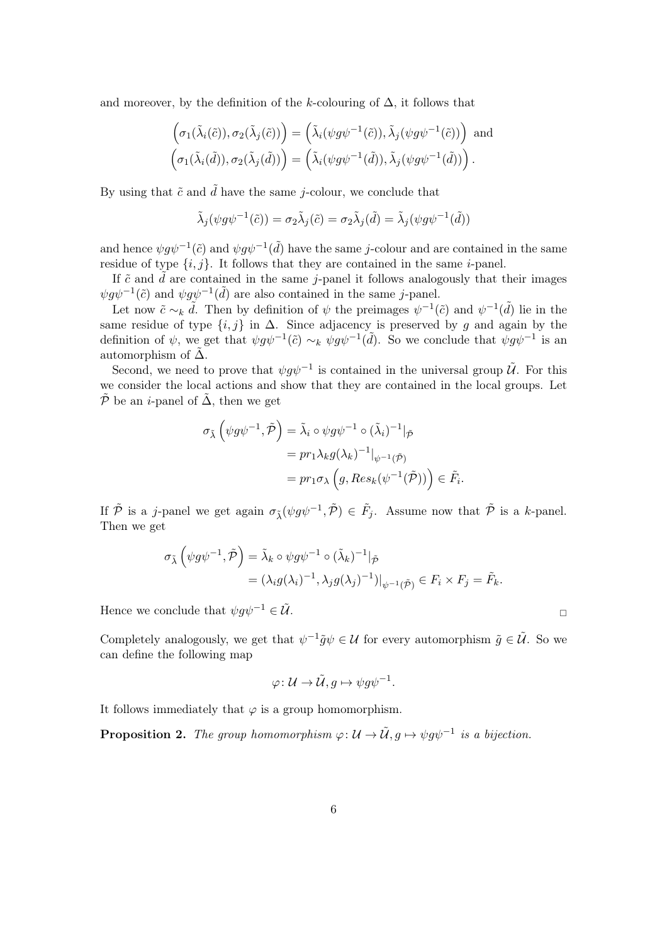and moreover, by the definition of the k-colouring of  $\Delta$ , it follows that

$$
\left(\sigma_1(\tilde{\lambda}_i(\tilde{c})), \sigma_2(\tilde{\lambda}_j(\tilde{c}))\right) = \left(\tilde{\lambda}_i(\psi g \psi^{-1}(\tilde{c})), \tilde{\lambda}_j(\psi g \psi^{-1}(\tilde{c}))\right) \text{ and}
$$

$$
\left(\sigma_1(\tilde{\lambda}_i(\tilde{d})), \sigma_2(\tilde{\lambda}_j(\tilde{d}))\right) = \left(\tilde{\lambda}_i(\psi g \psi^{-1}(\tilde{d})), \tilde{\lambda}_j(\psi g \psi^{-1}(\tilde{d}))\right).
$$

By using that  $\tilde{c}$  and  $\tilde{d}$  have the same *j*-colour, we conclude that

$$
\tilde{\lambda}_j(\psi g \psi^{-1}(\tilde{c})) = \sigma_2 \tilde{\lambda}_j(\tilde{c}) = \sigma_2 \tilde{\lambda}_j(\tilde{d}) = \tilde{\lambda}_j(\psi g \psi^{-1}(\tilde{d}))
$$

and hence  $\psi g \psi^{-1}(\tilde{c})$  and  $\psi g \psi^{-1}(\tilde{d})$  have the same j-colour and are contained in the same residue of type  $\{i, j\}$ . It follows that they are contained in the same *i*-panel.

If  $\tilde{c}$  and  $\tilde{d}$  are contained in the same *j*-panel it follows analogously that their images  $\psi g \psi^{-1}(\tilde{c})$  and  $\psi g \psi^{-1}(\tilde{d})$  are also contained in the same *j*-panel.

Let now  $\tilde{c} \sim_k \tilde{d}$ . Then by definition of  $\psi$  the preimages  $\psi^{-1}(\tilde{c})$  and  $\psi^{-1}(\tilde{d})$  lie in the same residue of type  $\{i, j\}$  in  $\Delta$ . Since adjacency is preserved by g and again by the definition of  $\psi$ , we get that  $\psi g \psi^{-1}(\tilde{c}) \sim_k \psi g \psi^{-1}(\tilde{d})$ . So we conclude that  $\psi g \psi^{-1}$  is an automorphism of  $\tilde{\Delta}$ .

Second, we need to prove that  $\psi g \psi^{-1}$  is contained in the universal group  $\tilde{U}$ . For this we consider the local actions and show that they are contained in the local groups. Let  $\tilde{\mathcal{P}}$  be an *i*-panel of  $\tilde{\Delta}$ , then we get

$$
\sigma_{\tilde{\lambda}}\left(\psi g\psi^{-1}, \tilde{\mathcal{P}}\right) = \tilde{\lambda}_i \circ \psi g\psi^{-1} \circ (\tilde{\lambda}_i)^{-1}|_{\tilde{\mathcal{P}}}
$$

$$
= pr_1 \lambda_k g(\lambda_k)^{-1}|_{\psi^{-1}(\tilde{\mathcal{P}})}
$$

$$
= pr_1 \sigma_{\lambda}\left(g, Res_k(\psi^{-1}(\tilde{\mathcal{P}}))\right) \in \tilde{F}_i.
$$

If  $\tilde{\mathcal{P}}$  is a j-panel we get again  $\sigma_{\tilde{\lambda}}(\psi g \psi^{-1}, \tilde{\mathcal{P}}) \in \tilde{F}_j$ . Assume now that  $\tilde{\mathcal{P}}$  is a k-panel. Then we get

$$
\sigma_{\tilde{\lambda}}\left(\psi g \psi^{-1}, \tilde{\mathcal{P}}\right) = \tilde{\lambda}_k \circ \psi g \psi^{-1} \circ (\tilde{\lambda}_k)^{-1} \vert_{\tilde{\mathcal{P}}}
$$
  
=  $(\lambda_i g (\lambda_i)^{-1}, \lambda_j g (\lambda_j)^{-1}) \vert_{\psi^{-1}(\tilde{\mathcal{P}})} \in F_i \times F_j = \tilde{F}_k.$ 

Hence we conclude that  $\psi g \psi^{-1} \in \tilde{\mathcal{U}}$ .

Completely analogously, we get that  $\psi^{-1}\tilde{g}\psi \in \mathcal{U}$  for every automorphism  $\tilde{g} \in \tilde{\mathcal{U}}$ . So we can define the following map

$$
\varphi\colon \mathcal{U}\to \tilde{\mathcal{U}}, g\mapsto \psi g\psi^{-1}.
$$

It follows immediately that  $\varphi$  is a group homomorphism.

**Proposition 2.** The group homomorphism  $\varphi: \mathcal{U} \to \tilde{\mathcal{U}}, g \mapsto \psi g \psi^{-1}$  is a bijection.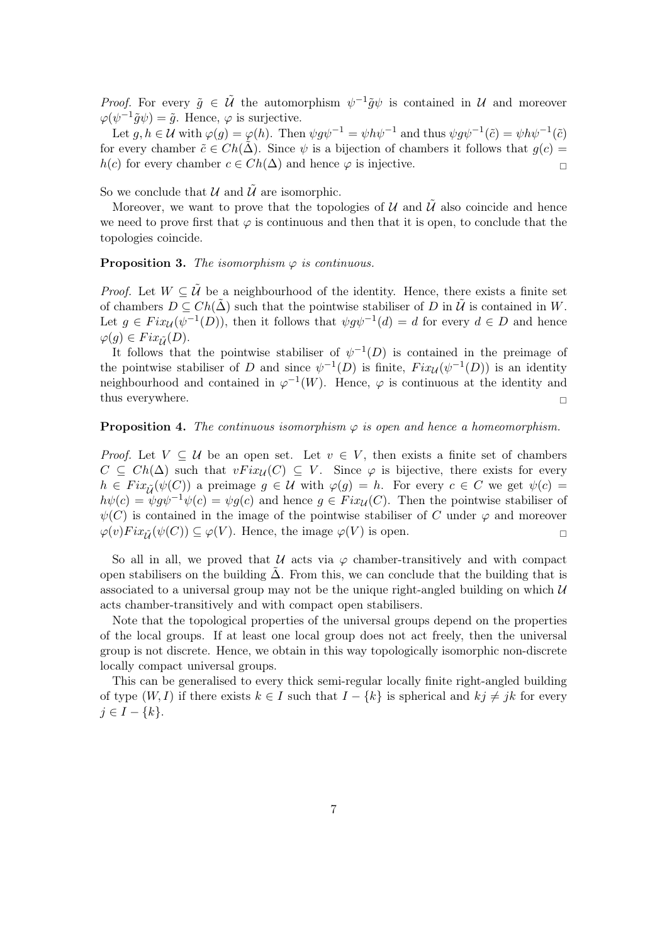*Proof.* For every  $\tilde{g} \in \tilde{U}$  the automorphism  $\psi^{-1} \tilde{g} \psi$  is contained in U and moreover  $\varphi(\psi^{-1}\tilde{g}\psi) = \tilde{g}$ . Hence,  $\varphi$  is surjective.

Let  $g, h \in \mathcal{U}$  with  $\varphi(g) = \varphi(h)$ . Then  $\psi g \psi^{-1} = \psi h \psi^{-1}$  and thus  $\psi g \psi^{-1}(\tilde{c}) = \psi h \psi^{-1}(\tilde{c})$ for every chamber  $\tilde{c} \in Ch(\tilde{\Delta})$ . Since  $\psi$  is a bijection of chambers it follows that  $q(c)$  $h(c)$  for every chamber  $c \in Ch(\Delta)$  and hence  $\varphi$  is injective.

So we conclude that  $\mathcal U$  and  $\mathcal U$  are isomorphic.

Moreover, we want to prove that the topologies of  $\mathcal U$  and  $\bar{\mathcal U}$  also coincide and hence we need to prove first that  $\varphi$  is continuous and then that it is open, to conclude that the topologies coincide.

**Proposition 3.** The isomorphism  $\varphi$  is continuous.

*Proof.* Let  $W \subseteq \tilde{U}$  be a neighbourhood of the identity. Hence, there exists a finite set of chambers  $D \subseteq Ch(\tilde{\Delta})$  such that the pointwise stabiliser of D in  $\tilde{U}$  is contained in W. Let  $g \in Fix_{\mathcal{U}}(\psi^{-1}(D))$ , then it follows that  $\psi g \psi^{-1}(d) = d$  for every  $d \in D$  and hence  $\varphi(q) \in Fix_{\tilde{U}}(D).$ 

It follows that the pointwise stabiliser of  $\psi^{-1}(D)$  is contained in the preimage of the pointwise stabiliser of D and since  $\psi^{-1}(D)$  is finite,  $Fix_{\mathcal{U}}(\psi^{-1}(D))$  is an identity neighbourhood and contained in  $\varphi^{-1}(W)$ . Hence,  $\varphi$  is continuous at the identity and thus everywhere.

#### **Proposition 4.** The continuous isomorphism  $\varphi$  is open and hence a homeomorphism.

*Proof.* Let  $V \subseteq U$  be an open set. Let  $v \in V$ , then exists a finite set of chambers  $C \subseteq Ch(\Delta)$  such that  $vFix_{\mathcal{U}}(C) \subseteq V$ . Since  $\varphi$  is bijective, there exists for every  $h \in Fix_{\tilde{U}}(\psi(C))$  a preimage  $g \in \mathcal{U}$  with  $\varphi(g) = h$ . For every  $c \in C$  we get  $\psi(c) =$  $h\psi(c) = \psi g\psi^{-1}\psi(c) = \psi g(c)$  and hence  $g \in Fix_{\mathcal{U}}(C)$ . Then the pointwise stabiliser of  $\psi(C)$  is contained in the image of the pointwise stabiliser of C under  $\varphi$  and moreover  $\varphi(v)Fix_{\tilde{U}}(\psi(C))\subseteq \varphi(V)$ . Hence, the image  $\varphi(V)$  is open.

So all in all, we proved that U acts via  $\varphi$  chamber-transitively and with compact open stabilisers on the building  $\Delta$ . From this, we can conclude that the building that is associated to a universal group may not be the unique right-angled building on which  $\mathcal U$ acts chamber-transitively and with compact open stabilisers.

Note that the topological properties of the universal groups depend on the properties of the local groups. If at least one local group does not act freely, then the universal group is not discrete. Hence, we obtain in this way topologically isomorphic non-discrete locally compact universal groups.

This can be generalised to every thick semi-regular locally finite right-angled building of type  $(W, I)$  if there exists  $k \in I$  such that  $I - \{k\}$  is spherical and  $kj \neq jk$  for every  $j \in I - \{k\}.$